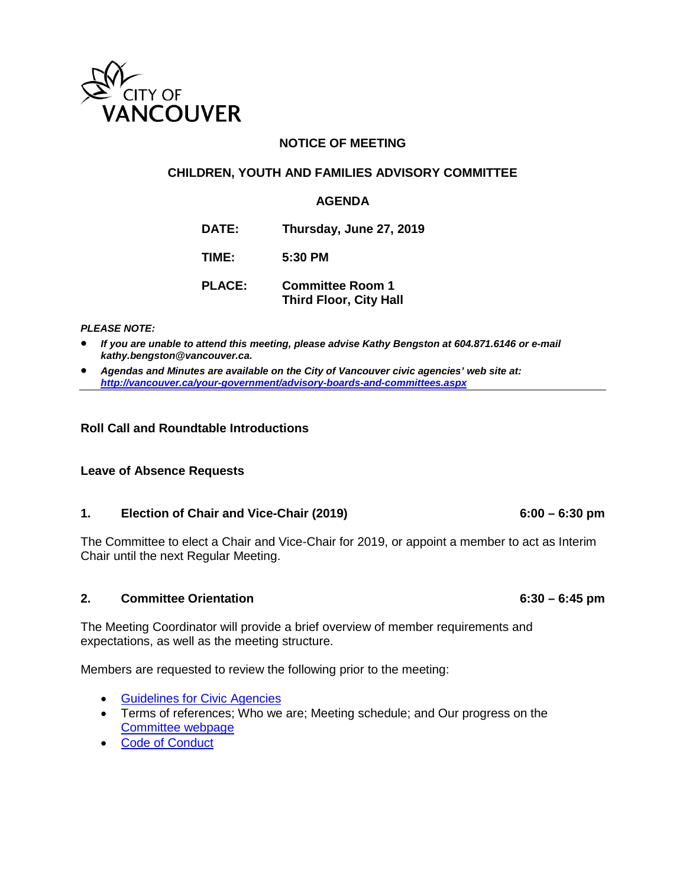

### **NOTICE OF MEETING**

#### **CHILDREN, YOUTH AND FAMILIES ADVISORY COMMITTEE**

#### **AGENDA**

**DATE: Thursday, June 27, 2019**

**TIME: 5:30 PM**

**PLACE: Committee Room 1 Third Floor, City Hall**

#### *PLEASE NOTE:*

- *If you are unable to attend this meeting, please advise Kathy Bengston at 604.871.6146 or e-mail kathy.bengston@vancouver.ca.*
- *Agendas and Minutes are available on the City of Vancouver civic agencies' web site at: <http://vancouver.ca/your-government/advisory-boards-and-committees.aspx>*

#### **Roll Call and Roundtable Introductions**

#### **Leave of Absence Requests**

#### **1. Election of Chair and Vice-Chair (2019) 6:00 – 6:30 pm**

The Committee to elect a Chair and Vice-Chair for 2019, or appoint a member to act as Interim Chair until the next Regular Meeting.

#### **2. Committee Orientation 6:30 – 6:45 pm**

The Meeting Coordinator will provide a brief overview of member requirements and expectations, as well as the meeting structure.

Members are requested to review the following prior to the meeting:

- [Guidelines for Civic Agencies](https://vancouver.ca/files/cov/guidelines-for-advisory-bodies.pdf)
- Terms of references; Who we are; Meeting schedule; and Our progress on the [Committee webpage](https://vancouver.ca/your-government/children-youth-and-families-advisory-committee.aspx)
- [Code of Conduct](https://policy.vancouver.ca/AE02801.pdf)